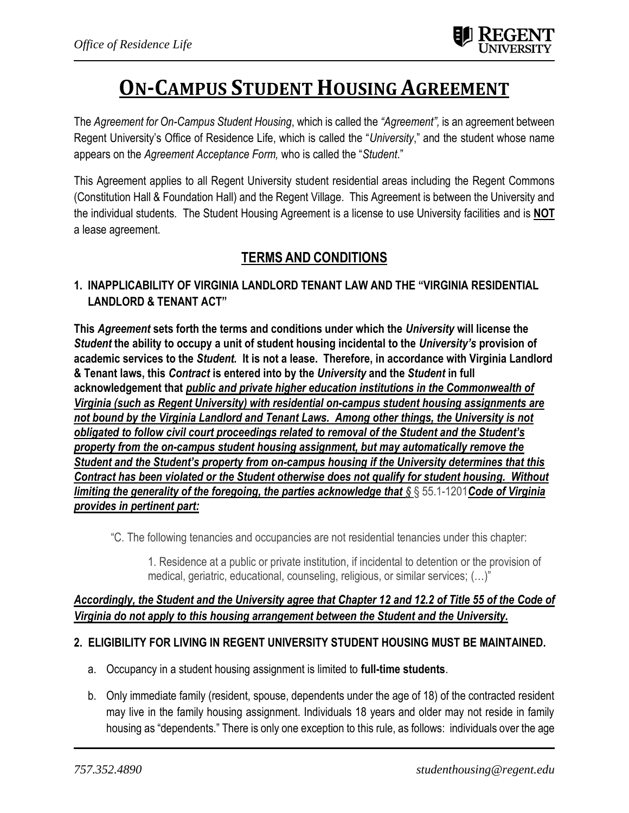# **ON-CAMPUS STUDENT HOUSING AGREEMENT**

The *Agreement for On-Campus Student Housing*, which is called the *"Agreement",* is an agreement between Regent University's Office of Residence Life, which is called the "*University*," and the student whose name appears on the *Agreement Acceptance Form,* who is called the "*Student*."

This Agreement applies to all Regent University student residential areas including the Regent Commons (Constitution Hall & Foundation Hall) and the Regent Village. This Agreement is between the University and the individual students. The Student Housing Agreement is a license to use University facilities and is **NOT** a lease agreement.

## **TERMS AND CONDITIONS**

## **1. INAPPLICABILITY OF VIRGINIA LANDLORD TENANT LAW AND THE "VIRGINIA RESIDENTIAL LANDLORD & TENANT ACT"**

**This** *Agreement* **sets forth the terms and conditions under which the** *University* **will license the**  *Student* **the ability to occupy a unit of student housing incidental to the** *University's* **provision of academic services to the** *Student.* **It is not a lease. Therefore, in accordance with Virginia Landlord & Tenant laws, this** *Contract* **is entered into by the** *University* **and the** *Student* **in full acknowledgement that** *public and private higher education institutions in the Commonwealth of Virginia (such as Regent University) with residential on-campus student housing assignments are not bound by the Virginia Landlord and Tenant Laws. Among other things, the University is not obligated to follow civil court proceedings related to removal of the Student and the Student's property from the on-campus student housing assignment, but may automatically remove the Student and the Student's property from on-campus housing if the University determines that this Contract has been violated or the Student otherwise does not qualify for student housing. Without limiting the generality of the foregoing, the parties acknowledge that §* § 55.1-1201*Code of Virginia provides in pertinent part:*

"C. The following tenancies and occupancies are not residential tenancies under this chapter:

1. Residence at a public or private institution, if incidental to detention or the provision of medical, geriatric, educational, counseling, religious, or similar services; (…)"

#### *Accordingly, the Student and the University agree that Chapter 12 and 12.2 of Title 55 of the Code of Virginia do not apply to this housing arrangement between the Student and the University.*

#### **2. ELIGIBILITY FOR LIVING IN REGENT UNIVERSITY STUDENT HOUSING MUST BE MAINTAINED.**

- a. Occupancy in a student housing assignment is limited to **full-time students**.
- b. Only immediate family (resident, spouse, dependents under the age of 18) of the contracted resident may live in the family housing assignment. Individuals 18 years and older may not reside in family housing as "dependents." There is only one exception to this rule, as follows: individuals over the age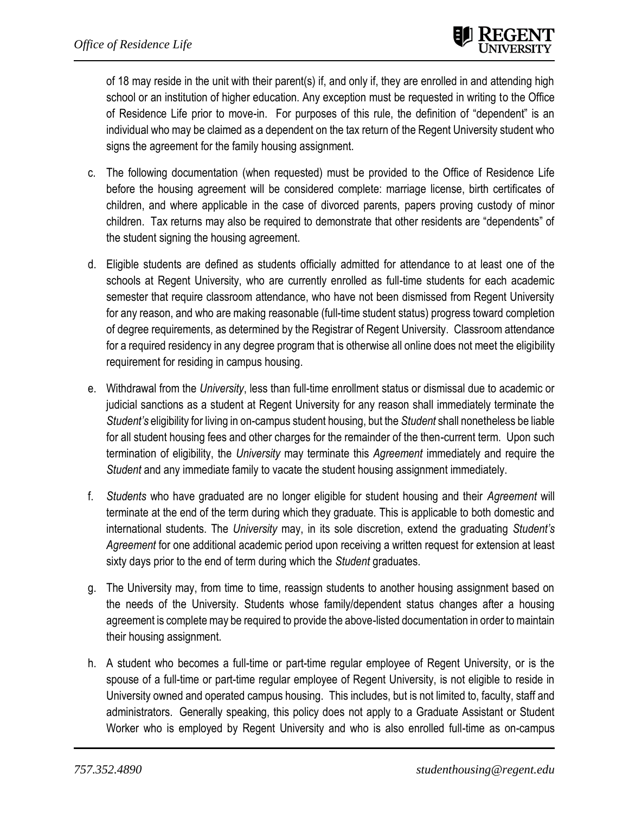of 18 may reside in the unit with their parent(s) if, and only if, they are enrolled in and attending high school or an institution of higher education. Any exception must be requested in writing to the Office of Residence Life prior to move-in. For purposes of this rule, the definition of "dependent" is an individual who may be claimed as a dependent on the tax return of the Regent University student who signs the agreement for the family housing assignment.

- c. The following documentation (when requested) must be provided to the Office of Residence Life before the housing agreement will be considered complete: marriage license, birth certificates of children, and where applicable in the case of divorced parents, papers proving custody of minor children. Tax returns may also be required to demonstrate that other residents are "dependents" of the student signing the housing agreement.
- d. Eligible students are defined as students officially admitted for attendance to at least one of the schools at Regent University, who are currently enrolled as full-time students for each academic semester that require classroom attendance, who have not been dismissed from Regent University for any reason, and who are making reasonable (full-time student status) progress toward completion of degree requirements, as determined by the Registrar of Regent University. Classroom attendance for a required residency in any degree program that is otherwise all online does not meet the eligibility requirement for residing in campus housing.
- e. Withdrawal from the *University*, less than full-time enrollment status or dismissal due to academic or judicial sanctions as a student at Regent University for any reason shall immediately terminate the *Student's* eligibility for living in on-campus student housing, but the *Student* shall nonetheless be liable for all student housing fees and other charges for the remainder of the then-current term. Upon such termination of eligibility, the *University* may terminate this *Agreement* immediately and require the *Student* and any immediate family to vacate the student housing assignment immediately.
- f. *Students* who have graduated are no longer eligible for student housing and their *Agreement* will terminate at the end of the term during which they graduate. This is applicable to both domestic and international students. The *University* may, in its sole discretion, extend the graduating *Student's Agreement* for one additional academic period upon receiving a written request for extension at least sixty days prior to the end of term during which the *Student* graduates.
- g. The University may, from time to time, reassign students to another housing assignment based on the needs of the University. Students whose family/dependent status changes after a housing agreement is complete may be required to provide the above-listed documentation in order to maintain their housing assignment.
- h. A student who becomes a full-time or part-time regular employee of Regent University, or is the spouse of a full-time or part-time regular employee of Regent University, is not eligible to reside in University owned and operated campus housing. This includes, but is not limited to, faculty, staff and administrators. Generally speaking, this policy does not apply to a Graduate Assistant or Student Worker who is employed by Regent University and who is also enrolled full-time as on-campus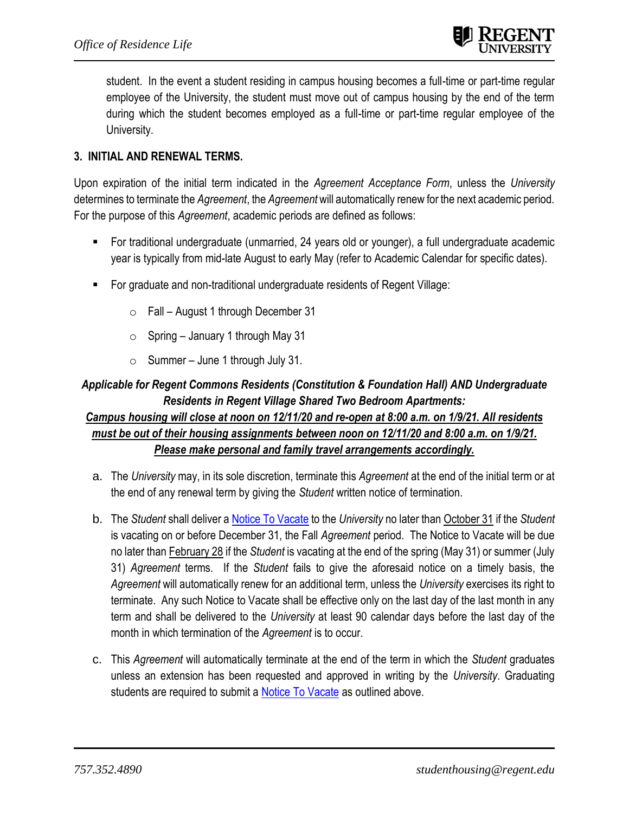student. In the event a student residing in campus housing becomes a full-time or part-time regular employee of the University, the student must move out of campus housing by the end of the term during which the student becomes employed as a full-time or part-time regular employee of the University.

### **3. INITIAL AND RENEWAL TERMS.**

Upon expiration of the initial term indicated in the *Agreement Acceptance Form*, unless the *University* determines to terminate the *Agreement*, the *Agreement* will automatically renew for the next academic period. For the purpose of this *Agreement*, academic periods are defined as follows:

- For traditional undergraduate (unmarried, 24 years old or younger), a full undergraduate academic year is typically from mid-late August to early May (refer to Academic Calendar for specific dates).
- For graduate and non-traditional undergraduate residents of Regent Village:
	- $\circ$  Fall August 1 through December 31
	- $\circ$  Spring January 1 through May 31
	- $\circ$  Summer June 1 through July 31.

## *Applicable for Regent Commons Residents (Constitution & Foundation Hall) AND Undergraduate Residents in Regent Village Shared Two Bedroom Apartments:*

## *Campus housing will close at noon on 12/11/20 and re-open at 8:00 a.m. on 1/9/21. All residents must be out of their housing assignments between noon on 12/11/20 and 8:00 a.m. on 1/9/21. Please make personal and family travel arrangements accordingly.*

- a. The *University* may, in its sole discretion, terminate this *Agreement* at the end of the initial term or at the end of any renewal term by giving the *Student* written notice of termination.
- b. The *Student* shall deliver [a Notice To Vacate](https://www.regent.edu/campus/housing/forms/vacate_notice.cfm?sec_nav=) to the *University* no later than October 31 if the *Student* is vacating on or before December 31, the Fall *Agreement* period. The Notice to Vacate will be due no later than February 28 if the *Student* is vacating at the end of the spring (May 31) or summer (July 31) *Agreement* terms.If the *Student* fails to give the aforesaid notice on a timely basis, the *Agreement* will automatically renew for an additional term, unless the *University* exercises its right to terminate. Any such Notice to Vacate shall be effective only on the last day of the last month in any term and shall be delivered to the *University* at least 90 calendar days before the last day of the month in which termination of the *Agreement* is to occur.
- c. This *Agreement* will automatically terminate at the end of the term in which the *Student* graduates unless an extension has been requested and approved in writing by the *University*. Graduating students are required to submit a **Notice To Vacate** as outlined above.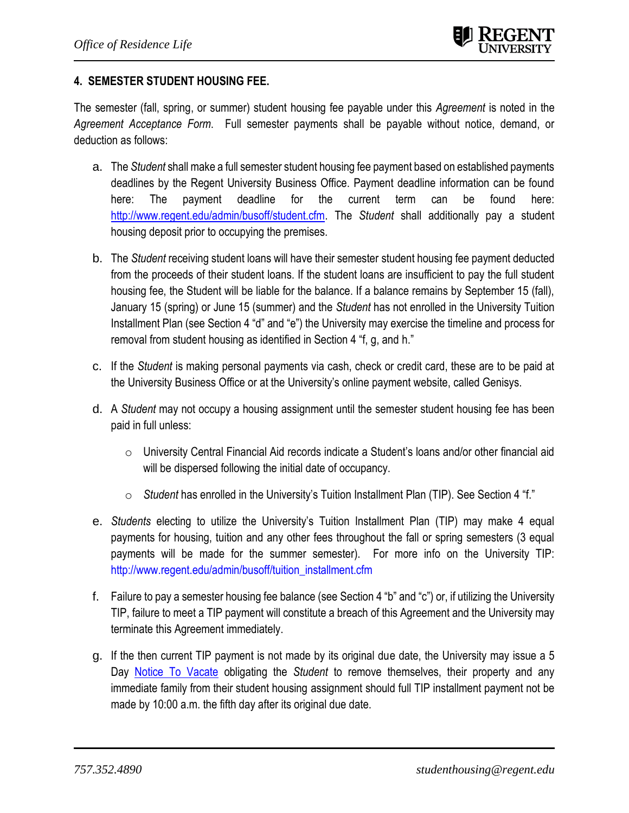#### **4. SEMESTER STUDENT HOUSING FEE.**

The semester (fall, spring, or summer) student housing fee payable under this *Agreement* is noted in the *Agreement Acceptance Form*. Full semester payments shall be payable without notice, demand, or deduction as follows:

- a. The *Student* shall make a full semester student housing fee payment based on established payments deadlines by the Regent University Business Office. Payment deadline information can be found here: The payment deadline for the current term can be found here: [http://www.regent.edu/admin/busoff/student.cfm.](http://www.regent.edu/admin/busoff/student.cfm) The *Student* shall additionally pay a student housing deposit prior to occupying the premises.
- b. The *Student* receiving student loans will have their semester student housing fee payment deducted from the proceeds of their student loans. If the student loans are insufficient to pay the full student housing fee, the Student will be liable for the balance. If a balance remains by September 15 (fall), January 15 (spring) or June 15 (summer) and the *Student* has not enrolled in the University Tuition Installment Plan (see Section 4 "d" and "e") the University may exercise the timeline and process for removal from student housing as identified in Section 4 "f, g, and h."
- c. If the *Student* is making personal payments via cash, check or credit card, these are to be paid at the University Business Office or at the University's online payment website, called Genisys.
- d. A *Student* may not occupy a housing assignment until the semester student housing fee has been paid in full unless:
	- o University Central Financial Aid records indicate a Student's loans and/or other financial aid will be dispersed following the initial date of occupancy.
	- o *Student* has enrolled in the University's Tuition Installment Plan (TIP). See Section 4 "f."
- e. *Students* electing to utilize the University's Tuition Installment Plan (TIP) may make 4 equal payments for housing, tuition and any other fees throughout the fall or spring semesters (3 equal payments will be made for the summer semester). For more info on the University TIP: [http://www.regent.edu/admin/busoff/tuition\\_installment.cfm](http://www.regent.edu/admin/busoff/tuition_installment.cfm)
- f. Failure to pay a semester housing fee balance (see Section 4 "b" and "c") or, if utilizing the University TIP, failure to meet a TIP payment will constitute a breach of this Agreement and the University may terminate this Agreement immediately.
- g. If the then current TIP payment is not made by its original due date, the University may issue a 5 Day **[Notice To Vacate](https://www.regent.edu/campus/housing/forms/vacate_notice.cfm?sec_nav=)** obligating the *Student* to remove themselves, their property and any immediate family from their student housing assignment should full TIP installment payment not be made by 10:00 a.m. the fifth day after its original due date.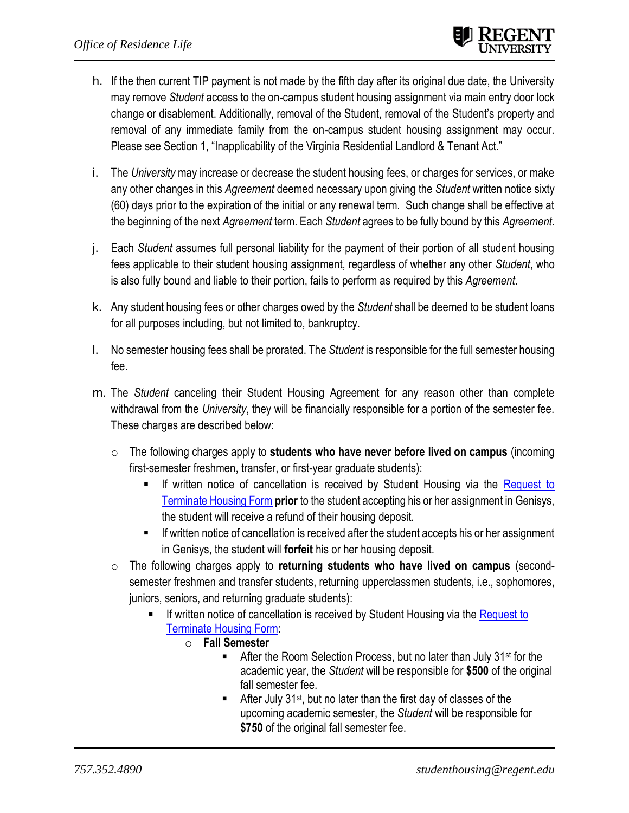- h. If the then current TIP payment is not made by the fifth day after its original due date, the University may remove *Student* access to the on-campus student housing assignment via main entry door lock change or disablement. Additionally, removal of the Student, removal of the Student's property and removal of any immediate family from the on-campus student housing assignment may occur. Please see Section 1, "Inapplicability of the Virginia Residential Landlord & Tenant Act."
- i. The *University* may increase or decrease the student housing fees, or charges for services, or make any other changes in this *Agreement* deemed necessary upon giving the *Student* written notice sixty (60) days prior to the expiration of the initial or any renewal term. Such change shall be effective at the beginning of the next *Agreement* term. Each *Student* agrees to be fully bound by this *Agreement*.
- j. Each *Student* assumes full personal liability for the payment of their portion of all student housing fees applicable to their student housing assignment, regardless of whether any other *Student*, who is also fully bound and liable to their portion, fails to perform as required by this *Agreement*.
- k. Any student housing fees or other charges owed by the *Student* shall be deemed to be student loans for all purposes including, but not limited to, bankruptcy.
- l. No semester housing fees shall be prorated. The *Student* is responsible for the full semester housing fee.
- m. The *Student* canceling their Student Housing Agreement for any reason other than complete withdrawal from the *University*, they will be financially responsible for a portion of the semester fee. These charges are described below:
	- o The following charges apply to **students who have never before lived on campus** (incoming first-semester freshmen, transfer, or first-year graduate students):
		- **■** If written notice of cancellation is received by Student Housing via the Request to [Terminate Housing Form](https://www.regent.edu/campus/housing/forms/terminate.cfm) **prior** to the student accepting his or her assignment in Genisys, the student will receive a refund of their housing deposit.
		- **■** If written notice of cancellation is received after the student accepts his or her assignment in Genisys, the student will **forfeit** his or her housing deposit.
	- o The following charges apply to **returning students who have lived on campus** (secondsemester freshmen and transfer students, returning upperclassmen students, i.e., sophomores, juniors, seniors, and returning graduate students):
		- If written notice of cancellation is received by Student Housing via the Request to [Terminate Housing Form:](https://www.regent.edu/campus/housing/forms/terminate.cfm)
			- o **Fall Semester**
				- After the Room Selection Process, but no later than July 31<sup>st</sup> for the academic year, the *Student* will be responsible for **\$500** of the original fall semester fee.
				- **EXECUTE:** After July 31<sup>st</sup>, but no later than the first day of classes of the upcoming academic semester, the *Student* will be responsible for **\$750** of the original fall semester fee.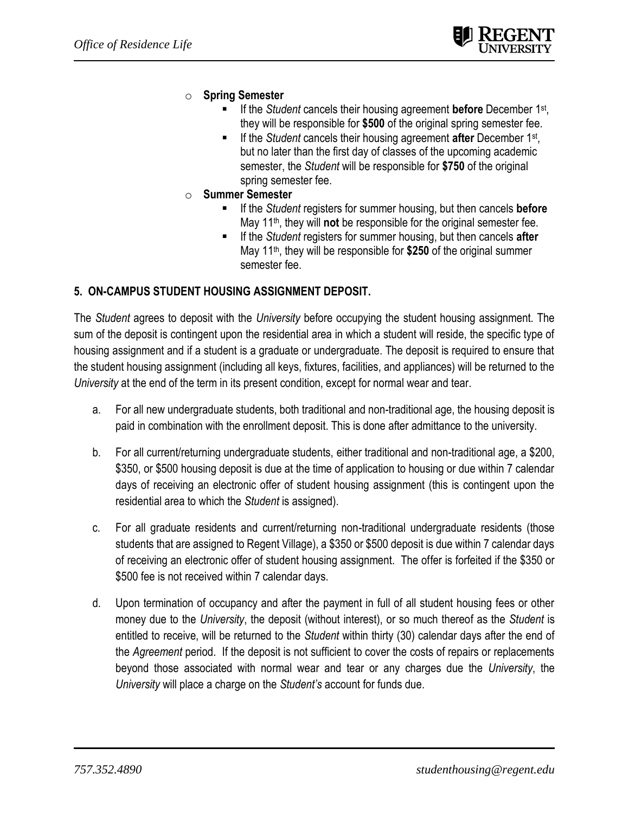- o **Spring Semester**
	- If the *Student* cancels their housing agreement **before** December 1<sup>st</sup>, they will be responsible for **\$500** of the original spring semester fee.
	- **E** If the *Student* cancels their housing agreement **after** December 1<sup>st</sup>, but no later than the first day of classes of the upcoming academic semester, the *Student* will be responsible for **\$750** of the original spring semester fee.
- o **Summer Semester**
	- If the *Student* registers for summer housing, but then cancels **before** May 11th, they will **not** be responsible for the original semester fee.
	- If the *Student* registers for summer housing, but then cancels **after** May 11th, they will be responsible for **\$250** of the original summer semester fee.

#### **5. ON-CAMPUS STUDENT HOUSING ASSIGNMENT DEPOSIT.**

The *Student* agrees to deposit with the *University* before occupying the student housing assignment. The sum of the deposit is contingent upon the residential area in which a student will reside, the specific type of housing assignment and if a student is a graduate or undergraduate. The deposit is required to ensure that the student housing assignment (including all keys, fixtures, facilities, and appliances) will be returned to the *University* at the end of the term in its present condition, except for normal wear and tear.

- a. For all new undergraduate students, both traditional and non-traditional age, the housing deposit is paid in combination with the enrollment deposit. This is done after admittance to the university.
- b. For all current/returning undergraduate students, either traditional and non-traditional age, a \$200, \$350, or \$500 housing deposit is due at the time of application to housing or due within 7 calendar days of receiving an electronic offer of student housing assignment (this is contingent upon the residential area to which the *Student* is assigned).
- c. For all graduate residents and current/returning non-traditional undergraduate residents (those students that are assigned to Regent Village), a \$350 or \$500 deposit is due within 7 calendar days of receiving an electronic offer of student housing assignment. The offer is forfeited if the \$350 or \$500 fee is not received within 7 calendar days.
- d. Upon termination of occupancy and after the payment in full of all student housing fees or other money due to the *University*, the deposit (without interest), or so much thereof as the *Student* is entitled to receive, will be returned to the *Student* within thirty (30) calendar days after the end of the *Agreement* period. If the deposit is not sufficient to cover the costs of repairs or replacements beyond those associated with normal wear and tear or any charges due the *University*, the *University* will place a charge on the *Student's* account for funds due.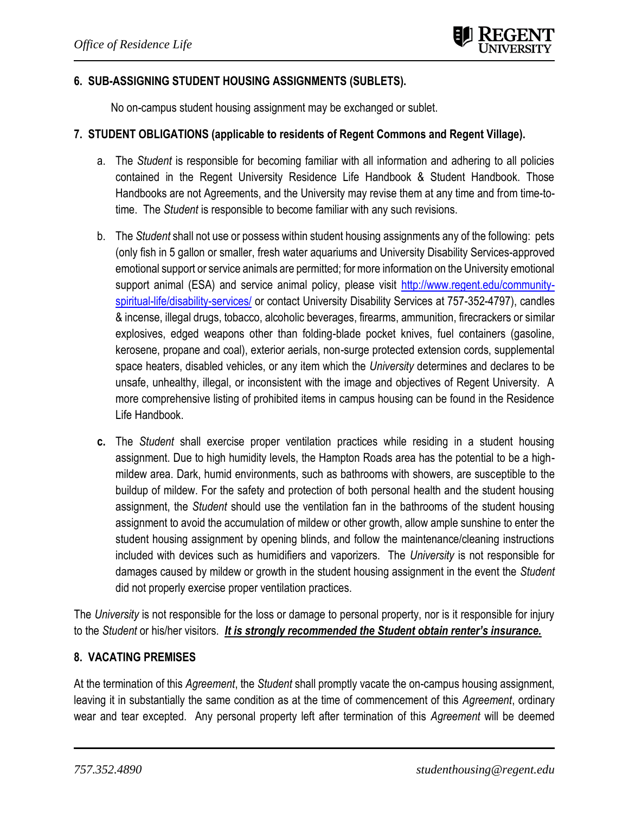#### **6. SUB-ASSIGNING STUDENT HOUSING ASSIGNMENTS (SUBLETS).**

No on-campus student housing assignment may be exchanged or sublet.

#### **7. STUDENT OBLIGATIONS (applicable to residents of Regent Commons and Regent Village).**

- a. The *Student* is responsible for becoming familiar with all information and adhering to all policies contained in the Regent University Residence Life Handbook & Student Handbook. Those Handbooks are not Agreements, and the University may revise them at any time and from time-totime. The *Student* is responsible to become familiar with any such revisions.
- b. The *Student* shall not use or possess within student housing assignments any of the following: pets (only fish in 5 gallon or smaller, fresh water aquariums and University Disability Services-approved emotional support or service animals are permitted; for more information on the University emotional support animal (ESA) and service animal policy, please visit [http://www.regent.edu/community](http://www.regent.edu/community-spiritual-life/disability-services/)[spiritual-life/disability-services/](http://www.regent.edu/community-spiritual-life/disability-services/) or contact University Disability Services at 757-352-4797), candles & incense, illegal drugs, tobacco, alcoholic beverages, firearms, ammunition, firecrackers or similar explosives, edged weapons other than folding-blade pocket knives, fuel containers (gasoline, kerosene, propane and coal), exterior aerials, non-surge protected extension cords, supplemental space heaters, disabled vehicles, or any item which the *University* determines and declares to be unsafe, unhealthy, illegal, or inconsistent with the image and objectives of Regent University. A more comprehensive listing of prohibited items in campus housing can be found in the Residence Life Handbook.
- **c.** The *Student* shall exercise proper ventilation practices while residing in a student housing assignment. Due to high humidity levels, the Hampton Roads area has the potential to be a highmildew area. Dark, humid environments, such as bathrooms with showers, are susceptible to the buildup of mildew. For the safety and protection of both personal health and the student housing assignment, the *Student* should use the ventilation fan in the bathrooms of the student housing assignment to avoid the accumulation of mildew or other growth, allow ample sunshine to enter the student housing assignment by opening blinds, and follow the maintenance/cleaning instructions included with devices such as humidifiers and vaporizers. The *University* is not responsible for damages caused by mildew or growth in the student housing assignment in the event the *Student*  did not properly exercise proper ventilation practices.

The *University* is not responsible for the loss or damage to personal property, nor is it responsible for injury to the *Student* or his/her visitors. *It is strongly recommended the Student obtain renter's insurance.*

#### **8. VACATING PREMISES**

At the termination of this *Agreement*, the *Student* shall promptly vacate the on-campus housing assignment, leaving it in substantially the same condition as at the time of commencement of this *Agreement*, ordinary wear and tear excepted. Any personal property left after termination of this *Agreement* will be deemed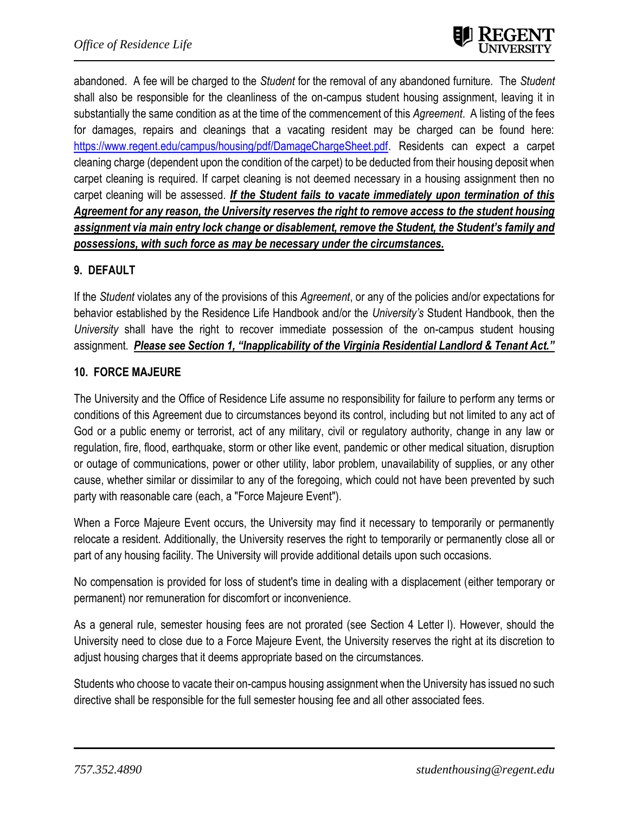abandoned. A fee will be charged to the *Student* for the removal of any abandoned furniture. The *Student*  shall also be responsible for the cleanliness of the on-campus student housing assignment, leaving it in substantially the same condition as at the time of the commencement of this *Agreement*. A listing of the fees for damages, repairs and cleanings that a vacating resident may be charged can be found here: [https://www.regent.edu/campus/housing/pdf/DamageChargeSheet.pdf.](https://www.regent.edu/campus/housing/pdf/DamageChargeSheet.pdf) Residents can expect a carpet cleaning charge (dependent upon the condition of the carpet) to be deducted from their housing deposit when carpet cleaning is required. If carpet cleaning is not deemed necessary in a housing assignment then no carpet cleaning will be assessed. *If the Student fails to vacate immediately upon termination of this Agreement for any reason, the University reserves the right to remove access to the student housing assignment via main entry lock change or disablement, remove the Student, the Student's family and possessions, with such force as may be necessary under the circumstances.*

#### **9. DEFAULT**

If the *Student* violates any of the provisions of this *Agreement*, or any of the policies and/or expectations for behavior established by the Residence Life Handbook and/or the *University's* Student Handbook, then the *University* shall have the right to recover immediate possession of the on-campus student housing assignment. *Please see Section 1, "Inapplicability of the Virginia Residential Landlord & Tenant Act."* 

#### **10. FORCE MAJEURE**

The University and the Office of Residence Life assume no responsibility for failure to perform any terms or conditions of this Agreement due to circumstances beyond its control, including but not limited to any act of God or a public enemy or terrorist, act of any military, civil or regulatory authority, change in any law or regulation, fire, flood, earthquake, storm or other like event, pandemic or other medical situation, disruption or outage of communications, power or other utility, labor problem, unavailability of supplies, or any other cause, whether similar or dissimilar to any of the foregoing, which could not have been prevented by such party with reasonable care (each, a "Force Majeure Event").

When a Force Majeure Event occurs, the University may find it necessary to temporarily or permanently relocate a resident. Additionally, the University reserves the right to temporarily or permanently close all or part of any housing facility. The University will provide additional details upon such occasions.

No compensation is provided for loss of student's time in dealing with a displacement (either temporary or permanent) nor remuneration for discomfort or inconvenience.

As a general rule, semester housing fees are not prorated (see Section 4 Letter l). However, should the University need to close due to a Force Majeure Event, the University reserves the right at its discretion to adjust housing charges that it deems appropriate based on the circumstances.

Students who choose to vacate their on-campus housing assignment when the University has issued no such directive shall be responsible for the full semester housing fee and all other associated fees.